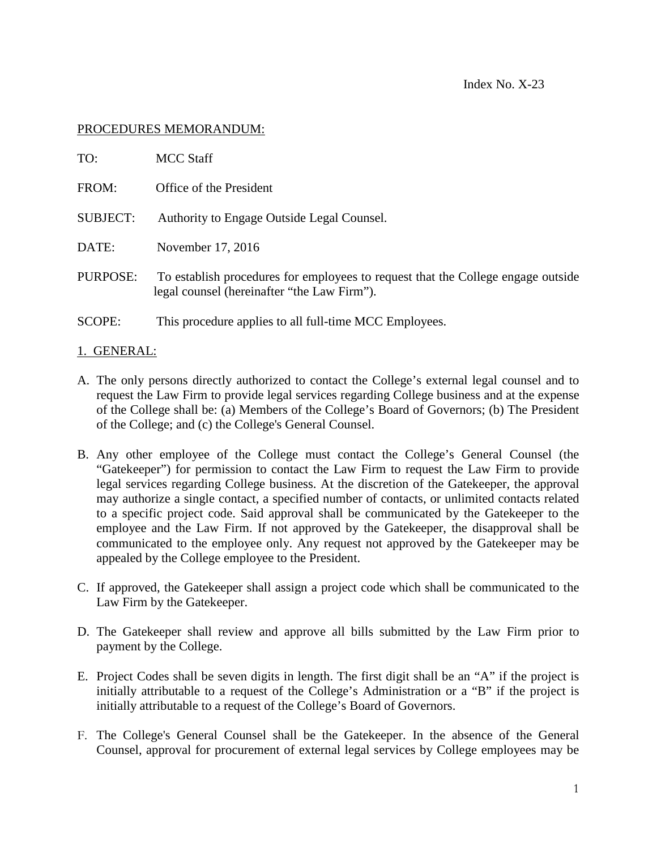## PROCEDURES MEMORANDUM:

| TO:             | <b>MCC</b> Staff                                                                                                                |
|-----------------|---------------------------------------------------------------------------------------------------------------------------------|
| FROM:           | Office of the President                                                                                                         |
| <b>SUBJECT:</b> | Authority to Engage Outside Legal Counsel.                                                                                      |
| DATE:           | November 17, 2016                                                                                                               |
| PURPOSE:        | To establish procedures for employees to request that the College engage outside<br>legal counsel (hereinafter "the Law Firm"). |
| <b>SCOPE:</b>   | This procedure applies to all full-time MCC Employees.                                                                          |

## 1. GENERAL:

- A. The only persons directly authorized to contact the College's external legal counsel and to request the Law Firm to provide legal services regarding College business and at the expense of the College shall be: (a) Members of the College's Board of Governors; (b) The President of the College; and (c) the College's General Counsel.
- B. Any other employee of the College must contact the College's General Counsel (the "Gatekeeper") for permission to contact the Law Firm to request the Law Firm to provide legal services regarding College business. At the discretion of the Gatekeeper, the approval may authorize a single contact, a specified number of contacts, or unlimited contacts related to a specific project code. Said approval shall be communicated by the Gatekeeper to the employee and the Law Firm. If not approved by the Gatekeeper, the disapproval shall be communicated to the employee only. Any request not approved by the Gatekeeper may be appealed by the College employee to the President.
- C. If approved, the Gatekeeper shall assign a project code which shall be communicated to the Law Firm by the Gatekeeper.
- D. The Gatekeeper shall review and approve all bills submitted by the Law Firm prior to payment by the College.
- E. Project Codes shall be seven digits in length. The first digit shall be an "A" if the project is initially attributable to a request of the College's Administration or a "B" if the project is initially attributable to a request of the College's Board of Governors.
- F. The College's General Counsel shall be the Gatekeeper. In the absence of the General Counsel, approval for procurement of external legal services by College employees may be